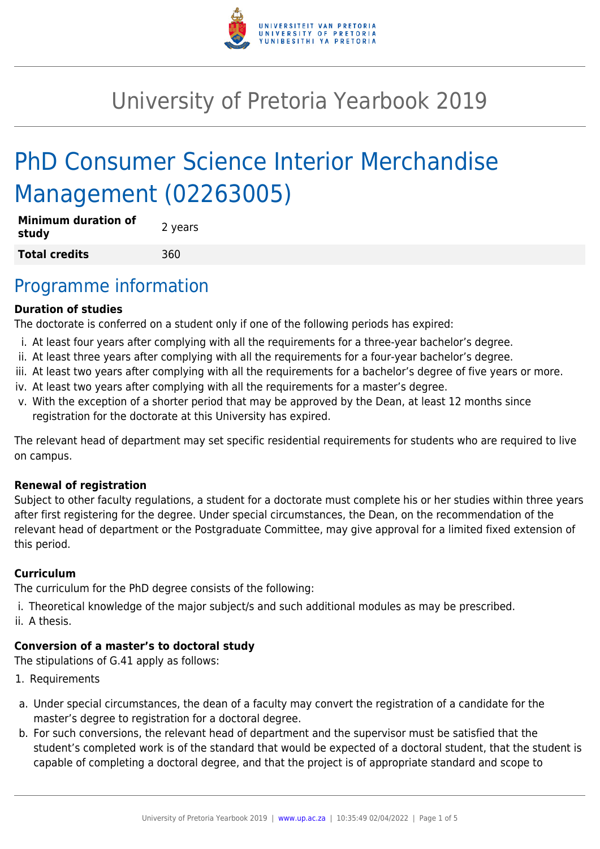

# University of Pretoria Yearbook 2019

# PhD Consumer Science Interior Merchandise Management (02263005)

| <b>Minimum duration of</b><br>study | 2 years |
|-------------------------------------|---------|
| <b>Total credits</b>                | 360     |

## Programme information

#### **Duration of studies**

The doctorate is conferred on a student only if one of the following periods has expired:

- i. At least four years after complying with all the requirements for a three-year bachelor's degree.
- ii. At least three years after complying with all the requirements for a four-year bachelor's degree.
- iii. At least two years after complying with all the requirements for a bachelor's degree of five years or more.
- iv. At least two years after complying with all the requirements for a master's degree.
- v. With the exception of a shorter period that may be approved by the Dean, at least 12 months since registration for the doctorate at this University has expired.

The relevant head of department may set specific residential requirements for students who are required to live on campus.

#### **Renewal of registration**

Subject to other faculty regulations, a student for a doctorate must complete his or her studies within three years after first registering for the degree. Under special circumstances, the Dean, on the recommendation of the relevant head of department or the Postgraduate Committee, may give approval for a limited fixed extension of this period.

#### **Curriculum**

The curriculum for the PhD degree consists of the following:

i. Theoretical knowledge of the major subject/s and such additional modules as may be prescribed. ii. A thesis.

#### **Conversion of a master's to doctoral study**

The stipulations of G.41 apply as follows:

- 1. Requirements
- a. Under special circumstances, the dean of a faculty may convert the registration of a candidate for the master's degree to registration for a doctoral degree.
- b. For such conversions, the relevant head of department and the supervisor must be satisfied that the student's completed work is of the standard that would be expected of a doctoral student, that the student is capable of completing a doctoral degree, and that the project is of appropriate standard and scope to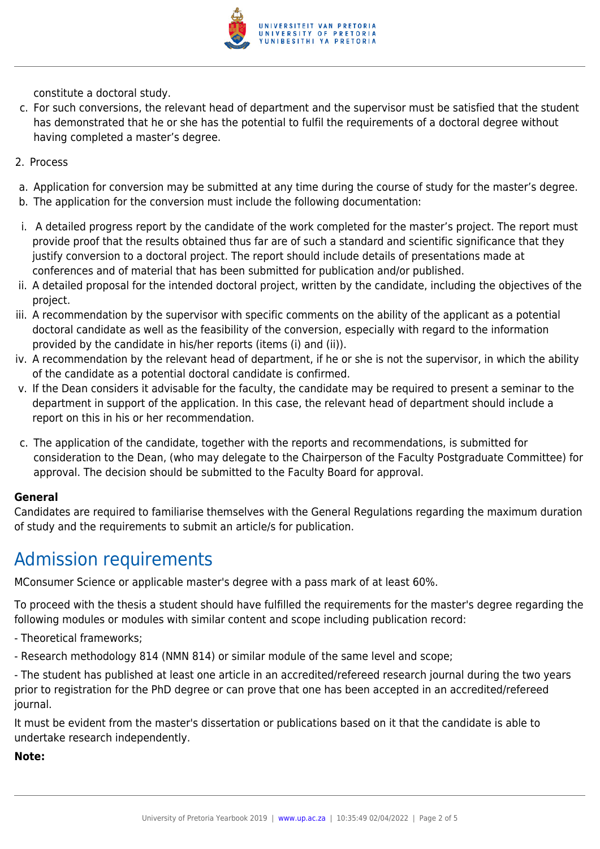

constitute a doctoral study.

- c. For such conversions, the relevant head of department and the supervisor must be satisfied that the student has demonstrated that he or she has the potential to fulfil the requirements of a doctoral degree without having completed a master's degree.
- 2. Process
- a. Application for conversion may be submitted at any time during the course of study for the master's degree.
- b. The application for the conversion must include the following documentation:
- i. A detailed progress report by the candidate of the work completed for the master's project. The report must provide proof that the results obtained thus far are of such a standard and scientific significance that they justify conversion to a doctoral project. The report should include details of presentations made at conferences and of material that has been submitted for publication and/or published.
- ii. A detailed proposal for the intended doctoral project, written by the candidate, including the objectives of the project.
- iii. A recommendation by the supervisor with specific comments on the ability of the applicant as a potential doctoral candidate as well as the feasibility of the conversion, especially with regard to the information provided by the candidate in his/her reports (items (i) and (ii)).
- iv. A recommendation by the relevant head of department, if he or she is not the supervisor, in which the ability of the candidate as a potential doctoral candidate is confirmed.
- v. If the Dean considers it advisable for the faculty, the candidate may be required to present a seminar to the department in support of the application. In this case, the relevant head of department should include a report on this in his or her recommendation.
- c. The application of the candidate, together with the reports and recommendations, is submitted for consideration to the Dean, (who may delegate to the Chairperson of the Faculty Postgraduate Committee) for approval. The decision should be submitted to the Faculty Board for approval.

#### **General**

Candidates are required to familiarise themselves with the General Regulations regarding the maximum duration of study and the requirements to submit an article/s for publication.

## Admission requirements

MConsumer Science or applicable master's degree with a pass mark of at least 60%.

To proceed with the thesis a student should have fulfilled the requirements for the master's degree regarding the following modules or modules with similar content and scope including publication record:

- Theoretical frameworks;
- Research methodology 814 (NMN 814) or similar module of the same level and scope;

- The student has published at least one article in an accredited/refereed research journal during the two years prior to registration for the PhD degree or can prove that one has been accepted in an accredited/refereed journal.

It must be evident from the master's dissertation or publications based on it that the candidate is able to undertake research independently.

**Note:**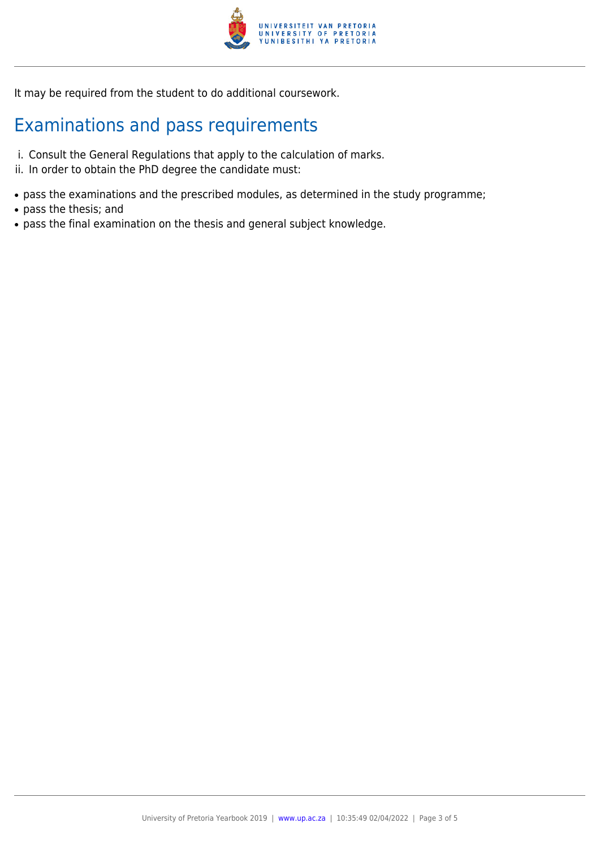

It may be required from the student to do additional coursework.

# Examinations and pass requirements

- i. Consult the General Regulations that apply to the calculation of marks.
- ii. In order to obtain the PhD degree the candidate must:
- pass the examinations and the prescribed modules, as determined in the study programme;
- pass the thesis; and
- pass the final examination on the thesis and general subject knowledge.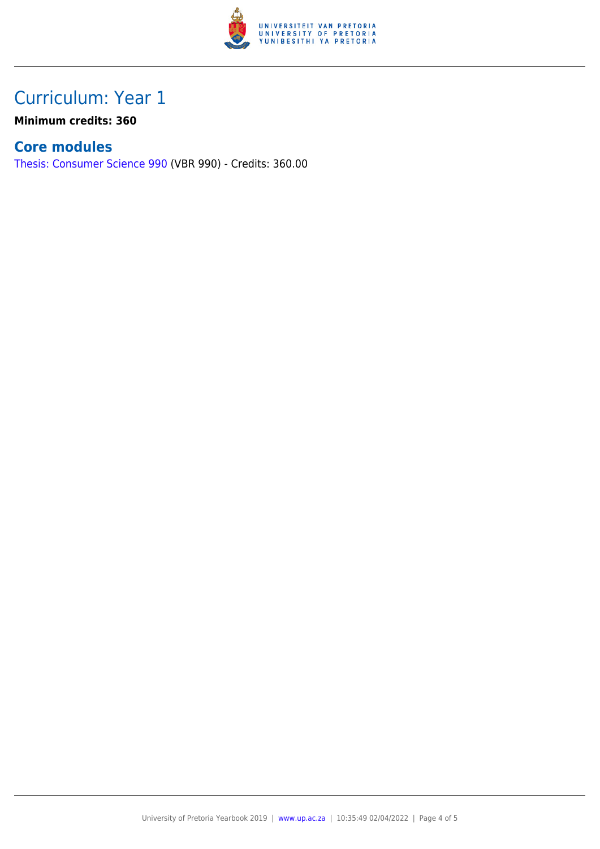

# Curriculum: Year 1

**Minimum credits: 360**

#### **Core modules**

[Thesis: Consumer Science 990](https://www.up.ac.za/faculty-of-education/yearbooks/2019/modules/view/VBR 990) (VBR 990) - Credits: 360.00